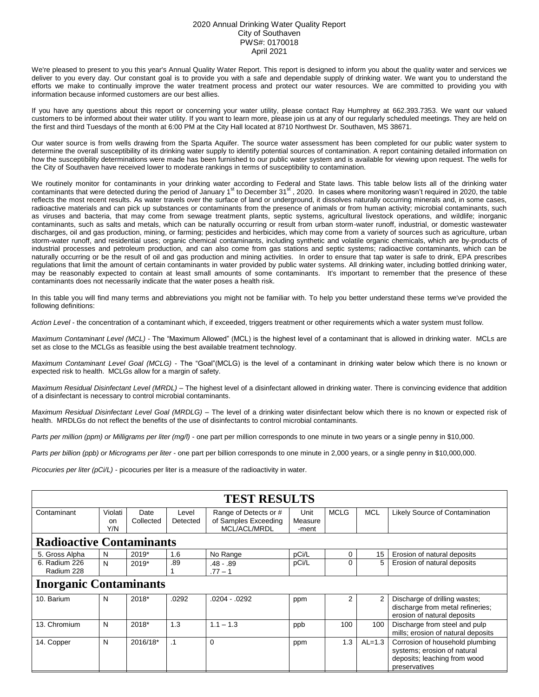## 2020 Annual Drinking Water Quality Report City of Southaven PWS#: 0170018 April 2021

We're pleased to present to you this year's Annual Quality Water Report. This report is designed to inform you about the quality water and services we deliver to you every day. Our constant goal is to provide you with a safe and dependable supply of drinking water. We want you to understand the efforts we make to continually improve the water treatment process and protect our water resources. We are committed to providing you with information because informed customers are our best allies.

If you have any questions about this report or concerning your water utility, please contact Ray Humphrey at 662.393.7353. We want our valued customers to be informed about their water utility. If you want to learn more, please join us at any of our regularly scheduled meetings. They are held on the first and third Tuesdays of the month at 6:00 PM at the City Hall located at 8710 Northwest Dr. Southaven, MS 38671.

Our water source is from wells drawing from the Sparta Aquifer. The source water assessment has been completed for our public water system to determine the overall susceptibility of its drinking water supply to identify potential sources of contamination. A report containing detailed information on how the susceptibility determinations were made has been furnished to our public water system and is available for viewing upon request. The wells for the City of Southaven have received lower to moderate rankings in terms of susceptibility to contamination.

We routinely monitor for contaminants in your drinking water according to Federal and State laws. This table below lists all of the drinking water contaminants that were detected during the period of January 1<sup>st</sup> to December 31<sup>st</sup>, 2020. In cases where monitoring wasn't required in 2020, the table reflects the most recent results. As water travels over the surface of land or underground, it dissolves naturally occurring minerals and, in some cases, radioactive materials and can pick up substances or contaminants from the presence of animals or from human activity; microbial contaminants, such as viruses and bacteria, that may come from sewage treatment plants, septic systems, agricultural livestock operations, and wildlife; inorganic contaminants, such as salts and metals, which can be naturally occurring or result from urban storm-water runoff, industrial, or domestic wastewater discharges, oil and gas production, mining, or farming; pesticides and herbicides, which may come from a variety of sources such as agriculture, urban storm-water runoff, and residential uses; organic chemical contaminants, including synthetic and volatile organic chemicals, which are by-products of industrial processes and petroleum production, and can also come from gas stations and septic systems; radioactive contaminants, which can be naturally occurring or be the result of oil and gas production and mining activities. In order to ensure that tap water is safe to drink, EPA prescribes regulations that limit the amount of certain contaminants in water provided by public water systems. All drinking water, including bottled drinking water, may be reasonably expected to contain at least small amounts of some contaminants. It's important to remember that the presence of these contaminants does not necessarily indicate that the water poses a health risk.

In this table you will find many terms and abbreviations you might not be familiar with. To help you better understand these terms we've provided the following definitions:

*Action Level* - the concentration of a contaminant which, if exceeded, triggers treatment or other requirements which a water system must follow.

*Maximum Contaminant Level (MCL)* - The "Maximum Allowed" (MCL) is the highest level of a contaminant that is allowed in drinking water. MCLs are set as close to the MCLGs as feasible using the best available treatment technology.

*Maximum Contaminant Level Goal (MCLG)* - The "Goal"(MCLG) is the level of a contaminant in drinking water below which there is no known or expected risk to health. MCLGs allow for a margin of safety.

*Maximum Residual Disinfectant Level (MRDL)* – The highest level of a disinfectant allowed in drinking water. There is convincing evidence that addition of a disinfectant is necessary to control microbial contaminants.

*Maximum Residual Disinfectant Level Goal (MRDLG)* – The level of a drinking water disinfectant below which there is no known or expected risk of health. MRDLGs do not reflect the benefits of the use of disinfectants to control microbial contaminants.

*Parts per million (ppm) or Milligrams per liter (mg/l)* - one part per million corresponds to one minute in two years or a single penny in \$10,000.

*Parts per billion (ppb) or Micrograms per liter* - one part per billion corresponds to one minute in 2,000 years, or a single penny in \$10,000,000.

*Picocuries per liter (pCi/L)* - picocuries per liter is a measure of the radioactivity in water.

| <b>TEST RESULTS</b>             |                                 |                   |                   |                                                               |                          |             |            |                                                                                                                 |  |  |
|---------------------------------|---------------------------------|-------------------|-------------------|---------------------------------------------------------------|--------------------------|-------------|------------|-----------------------------------------------------------------------------------------------------------------|--|--|
| Contaminant                     | Violati<br><sub>on</sub><br>Y/N | Date<br>Collected | Level<br>Detected | Range of Detects or #<br>of Samples Exceeding<br>MCL/ACL/MRDL | Unit<br>Measure<br>-ment | <b>MCLG</b> | <b>MCL</b> | Likely Source of Contamination                                                                                  |  |  |
| <b>Radioactive Contaminants</b> |                                 |                   |                   |                                                               |                          |             |            |                                                                                                                 |  |  |
| 5. Gross Alpha                  | N                               | $2019*$           | 1.6               | No Range                                                      | pCi/L                    | 0           | 15         | Erosion of natural deposits                                                                                     |  |  |
| 6. Radium 226<br>Radium 228     | N                               | 2019*             | .89               | $.48 - .89$<br>$.77 - 1$                                      | pCi/L                    | 0           | 5          | Erosion of natural deposits                                                                                     |  |  |
| <b>Inorganic Contaminants</b>   |                                 |                   |                   |                                                               |                          |             |            |                                                                                                                 |  |  |
| 10. Barium                      | N                               | 2018*             | .0292             | $.0204 - .0292$                                               | ppm                      | 2           | 2          | Discharge of drilling wastes;<br>discharge from metal refineries;<br>erosion of natural deposits                |  |  |
| 13. Chromium                    | N                               | 2018*             | 1.3               | $1.1 - 1.3$                                                   | ppb                      | 100         | 100        | Discharge from steel and pulp<br>mills; erosion of natural deposits                                             |  |  |
| 14. Copper                      | N                               | 2016/18*          | $\cdot$ 1         | 0                                                             | ppm                      | 1.3         | $AL=1.3$   | Corrosion of household plumbing<br>systems; erosion of natural<br>deposits; leaching from wood<br>preservatives |  |  |